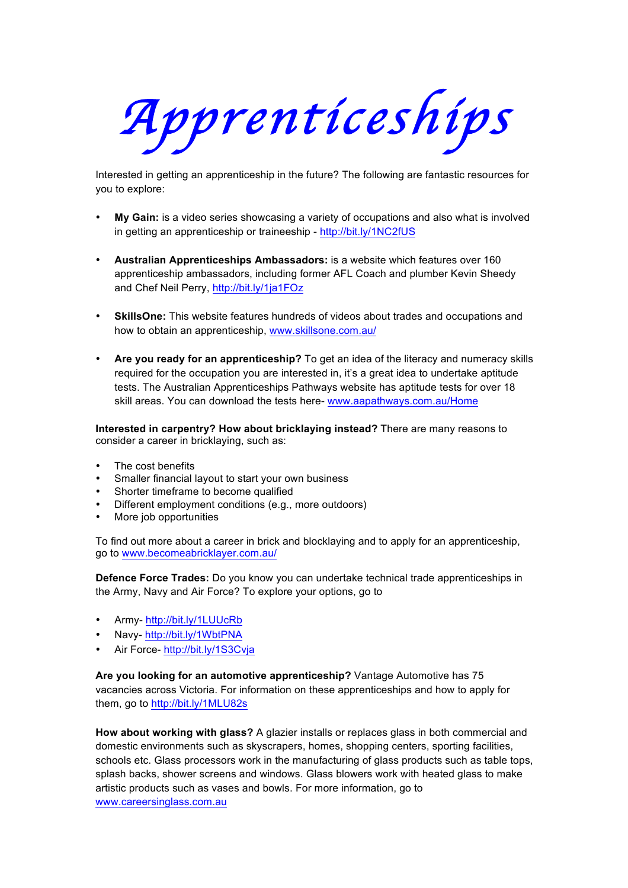*Apprenticeships* 

Interested in getting an apprenticeship in the future? The following are fantastic resources for you to explore:

- **My Gain:** is a video series showcasing a variety of occupations and also what is involved in getting an apprenticeship or traineeship - http://bit.ly/1NC2fUS
- **Australian Apprenticeships Ambassadors:** is a website which features over 160 apprenticeship ambassadors, including former AFL Coach and plumber Kevin Sheedy and Chef Neil Perry, http://bit.ly/1ja1FOz
- **SkillsOne:** This website features hundreds of videos about trades and occupations and how to obtain an apprenticeship, www.skillsone.com.au/
- **Are you ready for an apprenticeship?** To get an idea of the literacy and numeracy skills required for the occupation you are interested in, it's a great idea to undertake aptitude tests. The Australian Apprenticeships Pathways website has aptitude tests for over 18 skill areas. You can download the tests here- www.aapathways.com.au/Home

**Interested in carpentry? How about bricklaying instead?** There are many reasons to consider a career in bricklaying, such as:

- The cost benefits
- Smaller financial layout to start your own business
- Shorter timeframe to become qualified
- Different employment conditions (e.g., more outdoors)
- More job opportunities

To find out more about a career in brick and blocklaying and to apply for an apprenticeship, go to www.becomeabricklayer.com.au/

**Defence Force Trades:** Do you know you can undertake technical trade apprenticeships in the Army, Navy and Air Force? To explore your options, go to

- Army- http://bit.ly/1LUUcRb
- Navy- http://bit.ly/1WbtPNA
- Air Force- http://bit.ly/1S3Cvja

**Are you looking for an automotive apprenticeship?** Vantage Automotive has 75 vacancies across Victoria. For information on these apprenticeships and how to apply for them, go to http://bit.ly/1MLU82s

**How about working with glass?** A glazier installs or replaces glass in both commercial and domestic environments such as skyscrapers, homes, shopping centers, sporting facilities, schools etc. Glass processors work in the manufacturing of glass products such as table tops, splash backs, shower screens and windows. Glass blowers work with heated glass to make artistic products such as vases and bowls. For more information, go to www.careersinglass.com.au